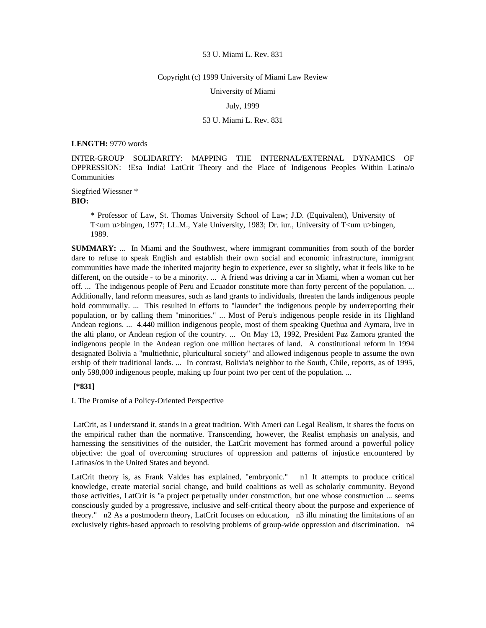### Copyright (c) 1999 University of Miami Law Review

University of Miami

## July, 1999

# 53 U. Miami L. Rev. 831

## **LENGTH:** 9770 words

INTER-GROUP SOLIDARITY: MAPPING THE INTERNAL/EXTERNAL DYNAMICS OF OPPRESSION: !Esa India! LatCrit Theory and the Place of Indigenous Peoples Within Latina/o **Communities** 

Siegfried Wiessner \* **BIO:** 

> \* Professor of Law, St. Thomas University School of Law; J.D. (Equivalent), University of T<um u>bingen, 1977; LL.M., Yale University, 1983; Dr. iur., University of T<um u>bingen, 1989.

**SUMMARY:** ... In Miami and the Southwest, where immigrant communities from south of the border dare to refuse to speak English and establish their own social and economic infrastructure, immigrant communities have made the inherited majority begin to experience, ever so slightly, what it feels like to be different, on the outside - to be a minority. ... A friend was driving a car in Miami, when a woman cut her off. ... The indigenous people of Peru and Ecuador constitute more than forty percent of the population. ... Additionally, land reform measures, such as land grants to individuals, threaten the lands indigenous people hold communally. ... This resulted in efforts to "launder" the indigenous people by underreporting their population, or by calling them "minorities." ... Most of Peru's indigenous people reside in its Highland Andean regions. ... 4.440 million indigenous people, most of them speaking Quethua and Aymara, live in the alti plano, or Andean region of the country. ... On May 13, 1992, President Paz Zamora granted the indigenous people in the Andean region one million hectares of land. A constitutional reform in 1994 designated Bolivia a "multiethnic, pluricultural society" and allowed indigenous people to assume the own ership of their traditional lands. ... In contrast, Bolivia's neighbor to the South, Chile, reports, as of 1995, only 598,000 indigenous people, making up four point two per cent of the population. ...

## **[\*831]**

I. The Promise of a Policy-Oriented Perspective

 LatCrit, as I understand it, stands in a great tradition. With Ameri can Legal Realism, it shares the focus on the empirical rather than the normative. Transcending, however, the Realist emphasis on analysis, and harnessing the sensitivities of the outsider, the LatCrit movement has formed around a powerful policy objective: the goal of overcoming structures of oppression and patterns of injustice encountered by Latinas/os in the United States and beyond.

LatCrit theory is, as Frank Valdes has explained, "embryonic." n1 It attempts to produce critical knowledge, create material social change, and build coalitions as well as scholarly community. Beyond those activities, LatCrit is "a project perpetually under construction, but one whose construction ... seems consciously guided by a progressive, inclusive and self-critical theory about the purpose and experience of theory." n2 As a postmodern theory, LatCrit focuses on education, n3 illu minating the limitations of an exclusively rights-based approach to resolving problems of group-wide oppression and discrimination. n4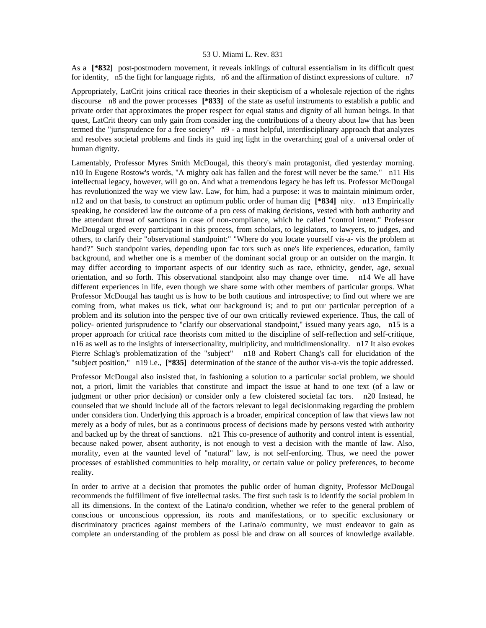As a **[\*832]** post-postmodern movement, it reveals inklings of cultural essentialism in its difficult quest for identity, n5 the fight for language rights, n6 and the affirmation of distinct expressions of culture. n7

Appropriately, LatCrit joins critical race theories in their skepticism of a wholesale rejection of the rights discourse n8 and the power processes **[\*833]** of the state as useful instruments to establish a public and private order that approximates the proper respect for equal status and dignity of all human beings. In that quest, LatCrit theory can only gain from consider ing the contributions of a theory about law that has been termed the "jurisprudence for a free society" n9 - a most helpful, interdisciplinary approach that analyzes and resolves societal problems and finds its guid ing light in the overarching goal of a universal order of human dignity.

Lamentably, Professor Myres Smith McDougal, this theory's main protagonist, died yesterday morning. n10 In Eugene Rostow's words, "A mighty oak has fallen and the forest will never be the same." n11 His intellectual legacy, however, will go on. And what a tremendous legacy he has left us. Professor McDougal has revolutionized the way we view law. Law, for him, had a purpose: it was to maintain minimum order, n12 and on that basis, to construct an optimum public order of human dig **[\*834]** nity. n13 Empirically speaking, he considered law the outcome of a pro cess of making decisions, vested with both authority and the attendant threat of sanctions in case of non-compliance, which he called "control intent." Professor McDougal urged every participant in this process, from scholars, to legislators, to lawyers, to judges, and others, to clarify their "observational standpoint:" "Where do you locate yourself vis-a- vis the problem at hand?" Such standpoint varies, depending upon fac tors such as one's life experiences, education, family background, and whether one is a member of the dominant social group or an outsider on the margin. It may differ according to important aspects of our identity such as race, ethnicity, gender, age, sexual orientation, and so forth. This observational standpoint also may change over time. n14 We all have different experiences in life, even though we share some with other members of particular groups. What Professor McDougal has taught us is how to be both cautious and introspective; to find out where we are coming from, what makes us tick, what our background is; and to put our particular perception of a problem and its solution into the perspec tive of our own critically reviewed experience. Thus, the call of policy- oriented jurisprudence to "clarify our observational standpoint," issued many years ago, n15 is a proper approach for critical race theorists com mitted to the discipline of self-reflection and self-critique, n16 as well as to the insights of intersectionality, multiplicity, and multidimensionality. n17 It also evokes Pierre Schlag's problematization of the "subject" n18 and Robert Chang's call for elucidation of the "subject position," n19 i.e., **[\*835]** determination of the stance of the author vis-a-vis the topic addressed.

Professor McDougal also insisted that, in fashioning a solution to a particular social problem, we should not, a priori, limit the variables that constitute and impact the issue at hand to one text (of a law or judgment or other prior decision) or consider only a few cloistered societal fac tors. n20 Instead, he counseled that we should include all of the factors relevant to legal decisionmaking regarding the problem under considera tion. Underlying this approach is a broader, empirical conception of law that views law not merely as a body of rules, but as a continuous process of decisions made by persons vested with authority and backed up by the threat of sanctions. n21 This co-presence of authority and control intent is essential, because naked power, absent authority, is not enough to vest a decision with the mantle of law. Also, morality, even at the vaunted level of "natural" law, is not self-enforcing. Thus, we need the power processes of established communities to help morality, or certain value or policy preferences, to become reality.

In order to arrive at a decision that promotes the public order of human dignity, Professor McDougal recommends the fulfillment of five intellectual tasks. The first such task is to identify the social problem in all its dimensions. In the context of the Latina/o condition, whether we refer to the general problem of conscious or unconscious oppression, its roots and manifestations, or to specific exclusionary or discriminatory practices against members of the Latina/o community, we must endeavor to gain as complete an understanding of the problem as possi ble and draw on all sources of knowledge available.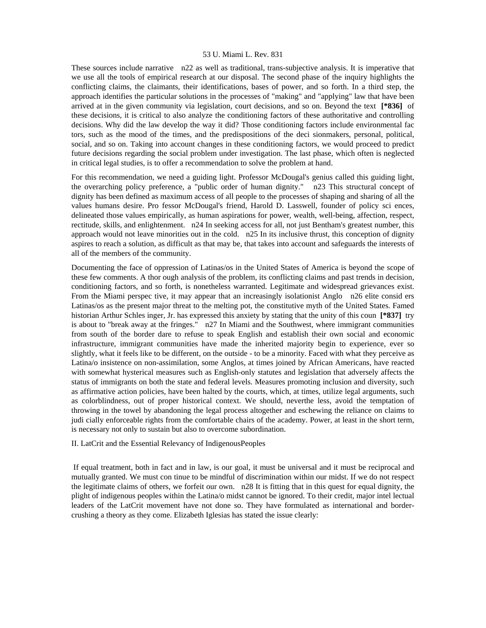These sources include narrative n22 as well as traditional, trans-subjective analysis. It is imperative that we use all the tools of empirical research at our disposal. The second phase of the inquiry highlights the conflicting claims, the claimants, their identifications, bases of power, and so forth. In a third step, the approach identifies the particular solutions in the processes of "making" and "applying" law that have been arrived at in the given community via legislation, court decisions, and so on. Beyond the text **[\*836]** of these decisions, it is critical to also analyze the conditioning factors of these authoritative and controlling decisions. Why did the law develop the way it did? Those conditioning factors include environmental fac tors, such as the mood of the times, and the predispositions of the deci sionmakers, personal, political, social, and so on. Taking into account changes in these conditioning factors, we would proceed to predict future decisions regarding the social problem under investigation. The last phase, which often is neglected in critical legal studies, is to offer a recommendation to solve the problem at hand.

For this recommendation, we need a guiding light. Professor McDougal's genius called this guiding light, the overarching policy preference, a "public order of human dignity." n23 This structural concept of dignity has been defined as maximum access of all people to the processes of shaping and sharing of all the values humans desire. Pro fessor McDougal's friend, Harold D. Lasswell, founder of policy sci ences, delineated those values empirically, as human aspirations for power, wealth, well-being, affection, respect, rectitude, skills, and enlightenment. n24 In seeking access for all, not just Bentham's greatest number, this approach would not leave minorities out in the cold. n25 In its inclusive thrust, this conception of dignity aspires to reach a solution, as difficult as that may be, that takes into account and safeguards the interests of all of the members of the community.

Documenting the face of oppression of Latinas/os in the United States of America is beyond the scope of these few comments. A thor ough analysis of the problem, its conflicting claims and past trends in decision, conditioning factors, and so forth, is nonetheless warranted. Legitimate and widespread grievances exist. From the Miami perspec tive, it may appear that an increasingly isolationist Anglo n26 elite consid ers Latinas/os as the present major threat to the melting pot, the constitutive myth of the United States. Famed historian Arthur Schles inger, Jr. has expressed this anxiety by stating that the unity of this coun **[\*837]** try is about to "break away at the fringes." n27 In Miami and the Southwest, where immigrant communities from south of the border dare to refuse to speak English and establish their own social and economic infrastructure, immigrant communities have made the inherited majority begin to experience, ever so slightly, what it feels like to be different, on the outside - to be a minority. Faced with what they perceive as Latina/o insistence on non-assimilation, some Anglos, at times joined by African Americans, have reacted with somewhat hysterical measures such as English-only statutes and legislation that adversely affects the status of immigrants on both the state and federal levels. Measures promoting inclusion and diversity, such as affirmative action policies, have been halted by the courts, which, at times, utilize legal arguments, such as colorblindness, out of proper historical context. We should, neverthe less, avoid the temptation of throwing in the towel by abandoning the legal process altogether and eschewing the reliance on claims to judi cially enforceable rights from the comfortable chairs of the academy. Power, at least in the short term, is necessary not only to sustain but also to overcome subordination.

## II. LatCrit and the Essential Relevancy of IndigenousPeoples

 If equal treatment, both in fact and in law, is our goal, it must be universal and it must be reciprocal and mutually granted. We must con tinue to be mindful of discrimination within our midst. If we do not respect the legitimate claims of others, we forfeit our own. n28 It is fitting that in this quest for equal dignity, the plight of indigenous peoples within the Latina/o midst cannot be ignored. To their credit, major intel lectual leaders of the LatCrit movement have not done so. They have formulated as international and bordercrushing a theory as they come. Elizabeth Iglesias has stated the issue clearly: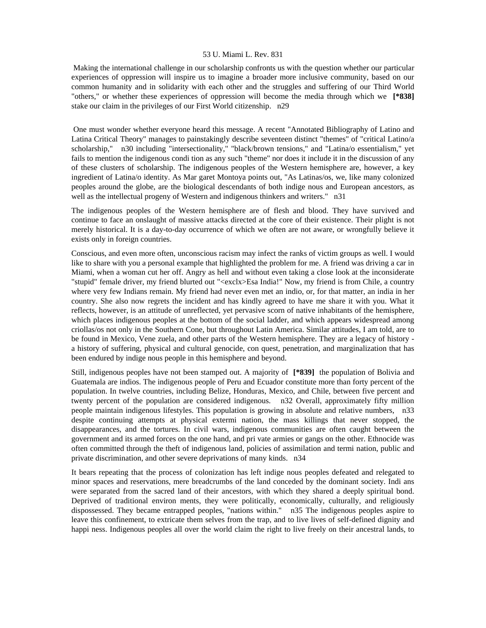Making the international challenge in our scholarship confronts us with the question whether our particular experiences of oppression will inspire us to imagine a broader more inclusive community, based on our common humanity and in solidarity with each other and the struggles and suffering of our Third World "others," or whether these experiences of oppression will become the media through which we **[\*838]**  stake our claim in the privileges of our First World citizenship. n29

 One must wonder whether everyone heard this message. A recent "Annotated Bibliography of Latino and Latina Critical Theory" manages to painstakingly describe seventeen distinct "themes" of "critical Latino/a scholarship," n30 including "intersectionality," "black/brown tensions," and "Latina/o essentialism," yet fails to mention the indigenous condi tion as any such "theme" nor does it include it in the discussion of any of these clusters of scholarship. The indigenous peoples of the Western hemisphere are, however, a key ingredient of Latina/o identity. As Mar garet Montoya points out, "As Latinas/os, we, like many colonized peoples around the globe, are the biological descendants of both indige nous and European ancestors, as well as the intellectual progeny of Western and indigenous thinkers and writers." n31

The indigenous peoples of the Western hemisphere are of flesh and blood. They have survived and continue to face an onslaught of massive attacks directed at the core of their existence. Their plight is not merely historical. It is a day-to-day occurrence of which we often are not aware, or wrongfully believe it exists only in foreign countries.

Conscious, and even more often, unconscious racism may infect the ranks of victim groups as well. I would like to share with you a personal example that highlighted the problem for me. A friend was driving a car in Miami, when a woman cut her off. Angry as hell and without even taking a close look at the inconsiderate "stupid" female driver, my friend blurted out "<exclx>Esa India!" Now, my friend is from Chile, a country where very few Indians remain. My friend had never even met an indio, or, for that matter, an india in her country. She also now regrets the incident and has kindly agreed to have me share it with you. What it reflects, however, is an attitude of unreflected, yet pervasive scorn of native inhabitants of the hemisphere, which places indigenous peoples at the bottom of the social ladder, and which appears widespread among criollas/os not only in the Southern Cone, but throughout Latin America. Similar attitudes, I am told, are to be found in Mexico, Vene zuela, and other parts of the Western hemisphere. They are a legacy of history a history of suffering, physical and cultural genocide, con quest, penetration, and marginalization that has been endured by indige nous people in this hemisphere and beyond.

Still, indigenous peoples have not been stamped out. A majority of **[\*839]** the population of Bolivia and Guatemala are indios. The indigenous people of Peru and Ecuador constitute more than forty percent of the population. In twelve countries, including Belize, Honduras, Mexico, and Chile, between five percent and twenty percent of the population are considered indigenous. n32 Overall, approximately fifty million people maintain indigenous lifestyles. This population is growing in absolute and relative numbers, n33 despite continuing attempts at physical extermi nation, the mass killings that never stopped, the disappearances, and the tortures. In civil wars, indigenous communities are often caught between the government and its armed forces on the one hand, and pri vate armies or gangs on the other. Ethnocide was often committed through the theft of indigenous land, policies of assimilation and termi nation, public and private discrimination, and other severe deprivations of many kinds. n34

It bears repeating that the process of colonization has left indige nous peoples defeated and relegated to minor spaces and reservations, mere breadcrumbs of the land conceded by the dominant society. Indi ans were separated from the sacred land of their ancestors, with which they shared a deeply spiritual bond. Deprived of traditional environ ments, they were politically, economically, culturally, and religiously dispossessed. They became entrapped peoples, "nations within." n35 The indigenous peoples aspire to leave this confinement, to extricate them selves from the trap, and to live lives of self-defined dignity and happi ness. Indigenous peoples all over the world claim the right to live freely on their ancestral lands, to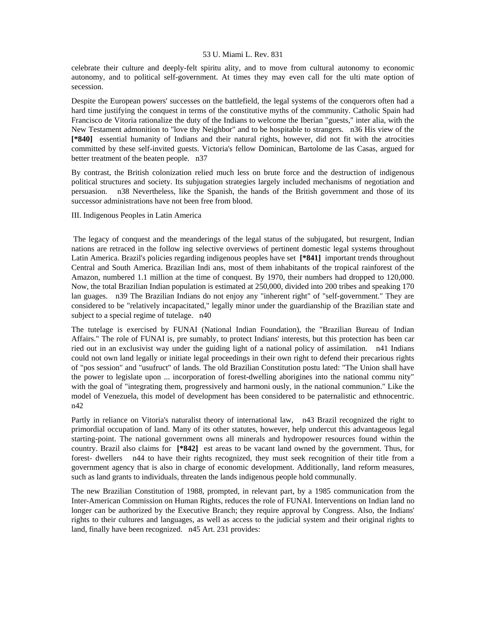celebrate their culture and deeply-felt spiritu ality, and to move from cultural autonomy to economic autonomy, and to political self-government. At times they may even call for the ulti mate option of secession.

Despite the European powers' successes on the battlefield, the legal systems of the conquerors often had a hard time justifying the conquest in terms of the constitutive myths of the community. Catholic Spain had Francisco de Vitoria rationalize the duty of the Indians to welcome the Iberian "guests," inter alia, with the New Testament admonition to "love thy Neighbor" and to be hospitable to strangers. n36 His view of the **[\*840]** essential humanity of Indians and their natural rights, however, did not fit with the atrocities committed by these self-invited guests. Victoria's fellow Dominican, Bartolome de las Casas, argued for better treatment of the beaten people. n37

By contrast, the British colonization relied much less on brute force and the destruction of indigenous political structures and society. Its subjugation strategies largely included mechanisms of negotiation and persuasion. n38 Nevertheless, like the Spanish, the hands of the British government and those of its successor administrations have not been free from blood.

III. Indigenous Peoples in Latin America

 The legacy of conquest and the meanderings of the legal status of the subjugated, but resurgent, Indian nations are retraced in the follow ing selective overviews of pertinent domestic legal systems throughout Latin America. Brazil's policies regarding indigenous peoples have set **[\*841]** important trends throughout Central and South America. Brazilian Indi ans, most of them inhabitants of the tropical rainforest of the Amazon, numbered 1.1 million at the time of conquest. By 1970, their numbers had dropped to 120,000. Now, the total Brazilian Indian population is estimated at 250,000, divided into 200 tribes and speaking 170 lan guages. n39 The Brazilian Indians do not enjoy any "inherent right" of "self-government." They are considered to be "relatively incapacitated," legally minor under the guardianship of the Brazilian state and subject to a special regime of tutelage.  $n40$ 

The tutelage is exercised by FUNAI (National Indian Foundation), the "Brazilian Bureau of Indian Affairs." The role of FUNAI is, pre sumably, to protect Indians' interests, but this protection has been car ried out in an exclusivist way under the guiding light of a national policy of assimilation. n41 Indians could not own land legally or initiate legal proceedings in their own right to defend their precarious rights of "pos session" and "usufruct" of lands. The old Brazilian Constitution postu lated: "The Union shall have the power to legislate upon ... incorporation of forest-dwelling aborigines into the national commu nity" with the goal of "integrating them, progressively and harmoni ously, in the national communion." Like the model of Venezuela, this model of development has been considered to be paternalistic and ethnocentric. n42

Partly in reliance on Vitoria's naturalist theory of international law, n43 Brazil recognized the right to primordial occupation of land. Many of its other statutes, however, help undercut this advantageous legal starting-point. The national government owns all minerals and hydropower resources found within the country. Brazil also claims for **[\*842]** est areas to be vacant land owned by the government. Thus, for forest- dwellers n44 to have their rights recognized, they must seek recognition of their title from a government agency that is also in charge of economic development. Additionally, land reform measures, such as land grants to individuals, threaten the lands indigenous people hold communally.

The new Brazilian Constitution of 1988, prompted, in relevant part, by a 1985 communication from the Inter-American Commission on Human Rights, reduces the role of FUNAI. Interventions on Indian land no longer can be authorized by the Executive Branch; they require approval by Congress. Also, the Indians' rights to their cultures and languages, as well as access to the judicial system and their original rights to land, finally have been recognized. n45 Art. 231 provides: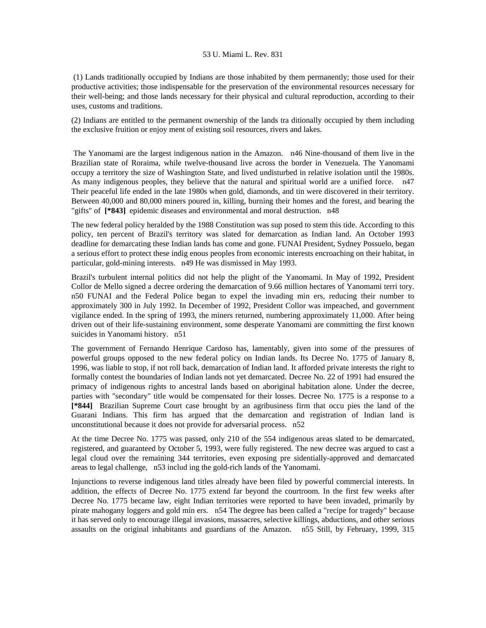(1) Lands traditionally occupied by Indians are those inhabited by them permanently; those used for their productive activities; those indispensable for the preservation of the environmental resources necessary for their well-being; and those lands necessary for their physical and cultural reproduction, according to their uses, customs and traditions.

(2) Indians are entitled to the permanent ownership of the lands tra ditionally occupied by them including the exclusive fruition or enjoy ment of existing soil resources, rivers and lakes.

 The Yanomami are the largest indigenous nation in the Amazon. n46 Nine-thousand of them live in the Brazilian state of Roraima, while twelve-thousand live across the border in Venezuela. The Yanomami occupy a territory the size of Washington State, and lived undisturbed in relative isolation until the 1980s. As many indigenous peoples, they believe that the natural and spiritual world are a unified force. n47 Their peaceful life ended in the late 1980s when gold, diamonds, and tin were discovered in their territory. Between 40,000 and 80,000 miners poured in, killing, burning their homes and the forest, and bearing the "gifts" of **[\*843]** epidemic diseases and environmental and moral destruction. n48

The new federal policy heralded by the 1988 Constitution was sup posed to stem this tide. According to this policy, ten percent of Brazil's territory was slated for demarcation as Indian land. An October 1993 deadline for demarcating these Indian lands has come and gone. FUNAI President, Sydney Possuelo, began a serious effort to protect these indig enous peoples from economic interests encroaching on their habitat, in particular, gold-mining interests. n49 He was dismissed in May 1993.

Brazil's turbulent internal politics did not help the plight of the Yanomami. In May of 1992, President Collor de Mello signed a decree ordering the demarcation of 9.66 million hectares of Yanomami terri tory. n50 FUNAI and the Federal Police began to expel the invading min ers, reducing their number to approximately 300 in July 1992. In December of 1992, President Collor was impeached, and government vigilance ended. In the spring of 1993, the miners returned, numbering approximately 11,000. After being driven out of their life-sustaining environment, some desperate Yanomami are committing the first known suicides in Yanomami history. n51

The government of Fernando Henrique Cardoso has, lamentably, given into some of the pressures of powerful groups opposed to the new federal policy on Indian lands. Its Decree No. 1775 of January 8, 1996, was liable to stop, if not roll back, demarcation of Indian land. It afforded private interests the right to formally contest the boundaries of Indian lands not yet demarcated. Decree No. 22 of 1991 had ensured the primacy of indigenous rights to ancestral lands based on aboriginal habitation alone. Under the decree, parties with "secondary" title would be compensated for their losses. Decree No. 1775 is a response to a **[\*844]** Brazilian Supreme Court case brought by an agribusiness firm that occu pies the land of the Guarani Indians. This firm has argued that the demarcation and registration of Indian land is unconstitutional because it does not provide for adversarial process. n52

At the time Decree No. 1775 was passed, only 210 of the 554 indigenous areas slated to be demarcated, registered, and guaranteed by October 5, 1993, were fully registered. The new decree was argued to cast a legal cloud over the remaining 344 territories, even exposing pre sidentially-approved and demarcated areas to legal challenge, n53 includ ing the gold-rich lands of the Yanomami.

Injunctions to reverse indigenous land titles already have been filed by powerful commercial interests. In addition, the effects of Decree No. 1775 extend far beyond the courtroom. In the first few weeks after Decree No. 1775 became law, eight Indian territories were reported to have been invaded, primarily by pirate mahogany loggers and gold min ers. n54 The degree has been called a "recipe for tragedy" because it has served only to encourage illegal invasions, massacres, selective killings, abductions, and other serious assaults on the original inhabitants and guardians of the Amazon. n55 Still, by February, 1999, 315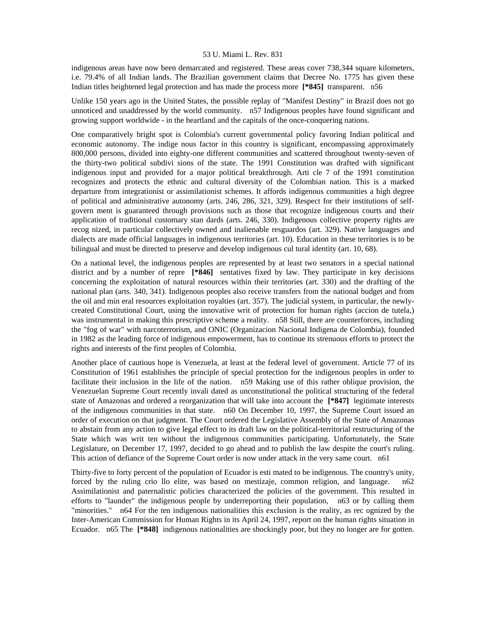indigenous areas have now been demarcated and registered. These areas cover 738,344 square kilometers, i.e. 79.4% of all Indian lands. The Brazilian government claims that Decree No. 1775 has given these Indian titles heightened legal protection and has made the process more **[\*845]** transparent. n56

Unlike 150 years ago in the United States, the possible replay of "Manifest Destiny" in Brazil does not go unnoticed and unaddressed by the world community. n57 Indigenous peoples have found significant and growing support worldwide - in the heartland and the capitals of the once-conquering nations.

One comparatively bright spot is Colombia's current governmental policy favoring Indian political and economic autonomy. The indige nous factor in this country is significant, encompassing approximately 800,000 persons, divided into eighty-one different communities and scattered throughout twenty-seven of the thirty-two political subdivi sions of the state. The 1991 Constitution was drafted with significant indigenous input and provided for a major political breakthrough. Arti cle 7 of the 1991 constitution recognizes and protects the ethnic and cultural diversity of the Colombian nation. This is a marked departure from integrationist or assimilationist schemes. It affords indigenous communities a high degree of political and administrative autonomy (arts. 246, 286, 321, 329). Respect for their institutions of selfgovern ment is guaranteed through provisions such as those that recognize indigenous courts and their application of traditional customary stan dards (arts. 246, 330). Indigenous collective property rights are recog nized, in particular collectively owned and inalienable resguardos (art. 329). Native languages and dialects are made official languages in indigenous territories (art. 10). Education in these territories is to be bilingual and must be directed to preserve and develop indigenous cul tural identity (art. 10, 68).

On a national level, the indigenous peoples are represented by at least two senators in a special national district and by a number of repre **[\*846]** sentatives fixed by law. They participate in key decisions concerning the exploitation of natural resources within their territories (art. 330) and the drafting of the national plan (arts. 340, 341). Indigenous peoples also receive transfers from the national budget and from the oil and min eral resources exploitation royalties (art. 357). The judicial system, in particular, the newlycreated Constitutional Court, using the innovative writ of protection for human rights (accion de tutela,) was instrumental in making this prescriptive scheme a reality. n58 Still, there are counterforces, including the "fog of war" with narcoterrorism, and ONIC (Organizacion Nacional Indigena de Colombia), founded in 1982 as the leading force of indigenous empowerment, has to continue its strenuous efforts to protect the rights and interests of the first peoples of Colombia.

Another place of cautious hope is Venezuela, at least at the federal level of government. Article 77 of its Constitution of 1961 establishes the principle of special protection for the indigenous peoples in order to facilitate their inclusion in the life of the nation. n59 Making use of this rather oblique provision, the Venezuelan Supreme Court recently invali dated as unconstitutional the political structuring of the federal state of Amazonas and ordered a reorganization that will take into account the **[\*847]** legitimate interests of the indigenous communities in that state. n60 On December 10, 1997, the Supreme Court issued an order of execution on that judgment. The Court ordered the Legislative Assembly of the State of Amazonas to abstain from any action to give legal effect to its draft law on the political-territorial restructuring of the State which was writ ten without the indigenous communities participating. Unfortunately, the State Legislature, on December 17, 1997, decided to go ahead and to publish the law despite the court's ruling. This action of defiance of the Supreme Court order is now under attack in the very same court. n61

Thirty-five to forty percent of the population of Ecuador is esti mated to be indigenous. The country's unity, forced by the ruling crio llo elite, was based on mestizaje, common religion, and language. n62 Assimilationist and paternalistic policies characterized the policies of the government. This resulted in efforts to "launder" the indigenous people by underreporting their population, n63 or by calling them "minorities." n64 For the ten indigenous nationalities this exclusion is the reality, as rec ognized by the Inter-American Commission for Human Rights in its April 24, 1997, report on the human rights situation in Ecuador. n65 The **[\*848]** indigenous nationalities are shockingly poor, but they no longer are for gotten.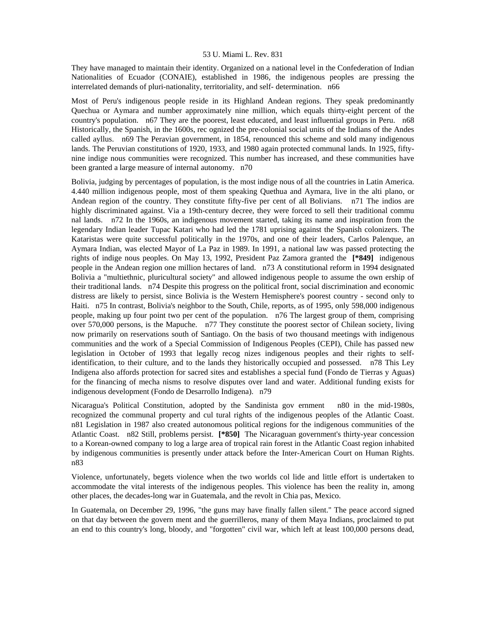They have managed to maintain their identity. Organized on a national level in the Confederation of Indian Nationalities of Ecuador (CONAIE), established in 1986, the indigenous peoples are pressing the interrelated demands of pluri-nationality, territoriality, and self- determination. n66

Most of Peru's indigenous people reside in its Highland Andean regions. They speak predominantly Quechua or Aymara and number approximately nine million, which equals thirty-eight percent of the country's population. n67 They are the poorest, least educated, and least influential groups in Peru. n68 Historically, the Spanish, in the 1600s, rec ognized the pre-colonial social units of the Indians of the Andes called ayllus. n69 The Peravian government, in 1854, renounced this scheme and sold many indigenous lands. The Peruvian constitutions of 1920, 1933, and 1980 again protected communal lands. In 1925, fiftynine indige nous communities were recognized. This number has increased, and these communities have been granted a large measure of internal autonomy. n70

Bolivia, judging by percentages of population, is the most indige nous of all the countries in Latin America. 4.440 million indigenous people, most of them speaking Quethua and Aymara, live in the alti plano, or Andean region of the country. They constitute fifty-five per cent of all Bolivians. n71 The indios are highly discriminated against. Via a 19th-century decree, they were forced to sell their traditional commu nal lands. n72 In the 1960s, an indigenous movement started, taking its name and inspiration from the legendary Indian leader Tupac Katari who had led the 1781 uprising against the Spanish colonizers. The Kataristas were quite successful politically in the 1970s, and one of their leaders, Carlos Palenque, an Aymara Indian, was elected Mayor of La Paz in 1989. In 1991, a national law was passed protecting the rights of indige nous peoples. On May 13, 1992, President Paz Zamora granted the **[\*849]** indigenous people in the Andean region one million hectares of land. n73 A constitutional reform in 1994 designated Bolivia a "multiethnic, pluricultural society" and allowed indigenous people to assume the own ership of their traditional lands. n74 Despite this progress on the political front, social discrimination and economic distress are likely to persist, since Bolivia is the Western Hemisphere's poorest country - second only to Haiti. n75 In contrast, Bolivia's neighbor to the South, Chile, reports, as of 1995, only 598,000 indigenous people, making up four point two per cent of the population. n76 The largest group of them, comprising over 570,000 persons, is the Mapuche. n77 They constitute the poorest sector of Chilean society, living now primarily on reservations south of Santiago. On the basis of two thousand meetings with indigenous communities and the work of a Special Commission of Indigenous Peoples (CEPI), Chile has passed new legislation in October of 1993 that legally recog nizes indigenous peoples and their rights to selfidentification, to their culture, and to the lands they historically occupied and possessed. n78 This Ley Indigena also affords protection for sacred sites and establishes a special fund (Fondo de Tierras y Aguas) for the financing of mecha nisms to resolve disputes over land and water. Additional funding exists for indigenous development (Fondo de Desarrollo Indigena). n79

Nicaragua's Political Constitution, adopted by the Sandinista gov ernment n80 in the mid-1980s, recognized the communal property and cul tural rights of the indigenous peoples of the Atlantic Coast. n81 Legislation in 1987 also created autonomous political regions for the indigenous communities of the Atlantic Coast. n82 Still, problems persist. **[\*850]** The Nicaraguan government's thirty-year concession to a Korean-owned company to log a large area of tropical rain forest in the Atlantic Coast region inhabited by indigenous communities is presently under attack before the Inter-American Court on Human Rights. n83

Violence, unfortunately, begets violence when the two worlds col lide and little effort is undertaken to accommodate the vital interests of the indigenous peoples. This violence has been the reality in, among other places, the decades-long war in Guatemala, and the revolt in Chia pas, Mexico.

In Guatemala, on December 29, 1996, "the guns may have finally fallen silent." The peace accord signed on that day between the govern ment and the guerrilleros, many of them Maya Indians, proclaimed to put an end to this country's long, bloody, and "forgotten" civil war, which left at least 100,000 persons dead,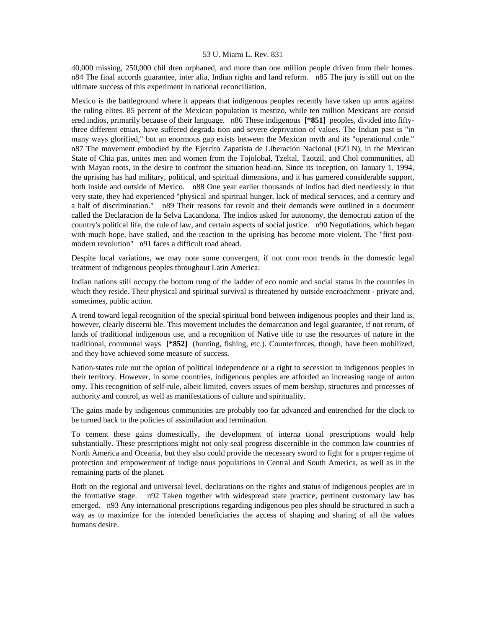40,000 missing, 250,000 chil dren orphaned, and more than one million people driven from their homes. n84 The final accords guarantee, inter alia, Indian rights and land reform. n85 The jury is still out on the ultimate success of this experiment in national reconciliation.

Mexico is the battleground where it appears that indigenous peoples recently have taken up arms against the ruling elites. 85 percent of the Mexican population is mestizo, while ten million Mexicans are consid ered indios, primarily because of their language. n86 These indigenous **[\*851]** peoples, divided into fiftythree different etnias, have suffered degrada tion and severe deprivation of values. The Indian past is "in many ways glorified," but an enormous gap exists between the Mexican myth and its "operational code." n87 The movement embodied by the Ejercito Zapatista de Liberacion Nacional (EZLN), in the Mexican State of Chia pas, unites men and women from the Tojolobal, Tzeltal, Tzotzil, and Chol communities, all with Mayan roots, in the desire to confront the situation head-on. Since its inception, on January 1, 1994, the uprising has had military, political, and spiritual dimensions, and it has garnered considerable support, both inside and outside of Mexico. n88 One year earlier thousands of indios had died needlessly in that very state, they had experienced "physical and spiritual hunger, lack of medical services, and a century and a half of discrimination." n89 Their reasons for revolt and their demands were outlined in a document called the Declaracion de la Selva Lacandona. The indios asked for autonomy, the democrati zation of the country's political life, the rule of law, and certain aspects of social justice. n90 Negotiations, which began with much hope, have stalled, and the reaction to the uprising has become more violent. The "first postmodern revolution" n91 faces a difficult road ahead.

Despite local variations, we may note some convergent, if not com mon trends in the domestic legal treatment of indigenous peoples throughout Latin America:

Indian nations still occupy the bottom rung of the ladder of eco nomic and social status in the countries in which they reside. Their physical and spiritual survival is threatened by outside encroachment - private and, sometimes, public action.

A trend toward legal recognition of the special spiritual bond between indigenous peoples and their land is, however, clearly discerni ble. This movement includes the demarcation and legal guarantee, if not return, of lands of traditional indigenous use, and a recognition of Native title to use the resources of nature in the traditional, communal ways **[\*852]** (hunting, fishing, etc.). Counterforces, though, have been mobilized, and they have achieved some measure of success.

Nation-states rule out the option of political independence or a right to secession to indigenous peoples in their territory. However, in some countries, indigenous peoples are afforded an increasing range of auton omy. This recognition of self-rule, albeit limited, covers issues of mem bership, structures and processes of authority and control, as well as manifestations of culture and spirituality.

The gains made by indigenous communities are probably too far advanced and entrenched for the clock to be turned back to the policies of assimilation and termination.

To cement these gains domestically, the development of interna tional prescriptions would help substantially. These prescriptions might not only seal progress discernible in the common law countries of North America and Oceania, but they also could provide the necessary sword to fight for a proper regime of protection and empowerment of indige nous populations in Central and South America, as well as in the remaining parts of the planet.

Both on the regional and universal level, declarations on the rights and status of indigenous peoples are in the formative stage. n92 Taken together with widespread state practice, pertinent customary law has emerged. n93 Any international prescriptions regarding indigenous peo ples should be structured in such a way as to maximize for the intended beneficiaries the access of shaping and sharing of all the values humans desire.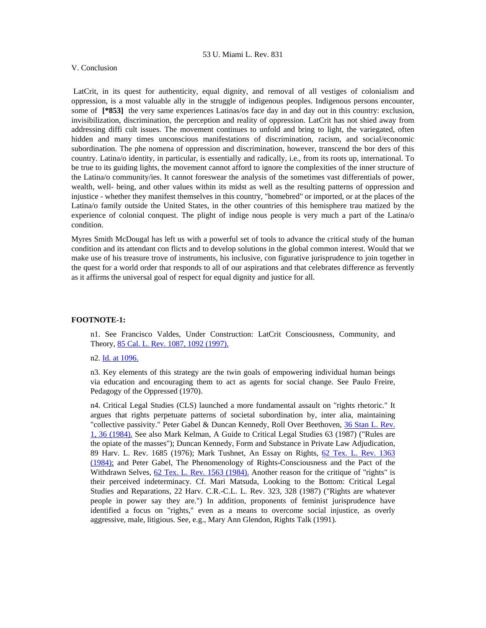#### V. Conclusion

 LatCrit, in its quest for authenticity, equal dignity, and removal of all vestiges of colonialism and oppression, is a most valuable ally in the struggle of indigenous peoples. Indigenous persons encounter, some of **[\*853]** the very same experiences Latinas/os face day in and day out in this country: exclusion, invisibilization, discrimination, the perception and reality of oppression. LatCrit has not shied away from addressing diffi cult issues. The movement continues to unfold and bring to light, the variegated, often hidden and many times unconscious manifestations of discrimination, racism, and social/economic subordination. The phe nomena of oppression and discrimination, however, transcend the bor ders of this country. Latina/o identity, in particular, is essentially and radically, i.e., from its roots up, international. To be true to its guiding lights, the movement cannot afford to ignore the complexities of the inner structure of the Latina/o community/ies. It cannot foreswear the analysis of the sometimes vast differentials of power, wealth, well- being, and other values within its midst as well as the resulting patterns of oppression and injustice - whether they manifest themselves in this country, "homebred" or imported, or at the places of the Latina/o family outside the United States, in the other countries of this hemisphere trau matized by the experience of colonial conquest. The plight of indige nous people is very much a part of the Latina/o condition.

Myres Smith McDougal has left us with a powerful set of tools to advance the critical study of the human condition and its attendant con flicts and to develop solutions in the global common interest. Would that we make use of his treasure trove of instruments, his inclusive, con figurative jurisprudence to join together in the quest for a world order that responds to all of our aspirations and that celebrates difference as fervently as it affirms the universal goal of respect for equal dignity and justice for all.

#### **FOOTNOTE-1:**

n1. See Francisco Valdes, Under Construction: LatCrit Consciousness, Community, and Theory, [85 Cal. L. Rev. 1087, 1092 \(1997\).](http://www.lexis.com/research/xlink?searchtype=get&search=85%20Calif.%20L.%20Rev.%201087,at%201092)

## n2. [Id. at 1096.](http://www.lexis.com/research/xlink?searchtype=get&search=85%20Calif.%20L.%20Rev.%201087,at%201096)

n3. Key elements of this strategy are the twin goals of empowering individual human beings via education and encouraging them to act as agents for social change. See Paulo Freire, Pedagogy of the Oppressed (1970).

n4. Critical Legal Studies (CLS) launched a more fundamental assault on "rights rhetoric." It argues that rights perpetuate patterns of societal subordination by, inter alia, maintaining "collective passivity." Peter Gabel & Duncan Kennedy, Roll Over Beethoven, [36 Stan L. Rev.](http://www.lexis.com/research/xlink?searchtype=get&search=36%20Stan.%20L.%20Rev.%201,at%2036)  [1, 36 \(1984\).](http://www.lexis.com/research/xlink?searchtype=get&search=36%20Stan.%20L.%20Rev.%201,at%2036) See also Mark Kelman, A Guide to Critical Legal Studies 63 (1987) ("Rules are the opiate of the masses"); Duncan Kennedy, Form and Substance in Private Law Adjudication, 89 Harv. L. Rev. 1685 (1976); Mark Tushnet, An Essay on Rights, [62 Tex. L. Rev. 1363](http://www.lexis.com/research/xlink?searchtype=get&search=62%20Tex.%20L.%20Rev.%201363)  [\(1984\);](http://www.lexis.com/research/xlink?searchtype=get&search=62%20Tex.%20L.%20Rev.%201363) and Peter Gabel, The Phenomenology of Rights-Consciousness and the Pact of the Withdrawn Selves, [62 Tex. L. Rev. 1563 \(1984\).](http://www.lexis.com/research/xlink?searchtype=get&search=62%20Tex.%20L.%20Rev.%201563) Another reason for the critique of "rights" is their perceived indeterminacy. Cf. Mari Matsuda, Looking to the Bottom: Critical Legal Studies and Reparations, 22 Harv. C.R.-C.L. L. Rev. 323, 328 (1987) ("Rights are whatever people in power say they are.") In addition, proponents of feminist jurisprudence have identified a focus on "rights," even as a means to overcome social injustice, as overly aggressive, male, litigious. See, e.g., Mary Ann Glendon, Rights Talk (1991).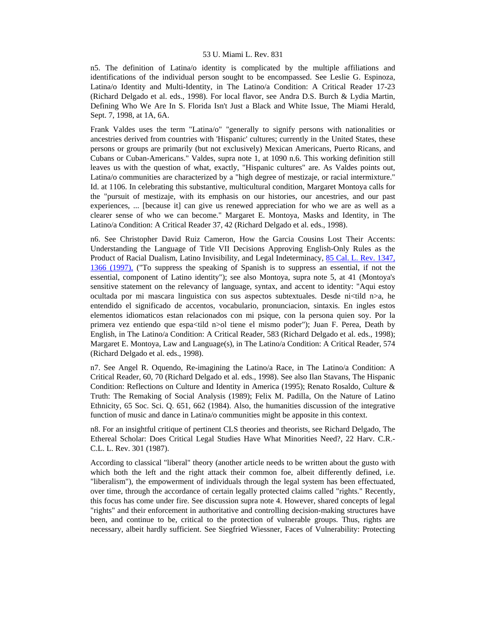n5. The definition of Latina/o identity is complicated by the multiple affiliations and identifications of the individual person sought to be encompassed. See Leslie G. Espinoza, Latina/o Identity and Multi-Identity, in The Latino/a Condition: A Critical Reader 17-23 (Richard Delgado et al. eds., 1998). For local flavor, see Andra D.S. Burch & Lydia Martin, Defining Who We Are In S. Florida Isn't Just a Black and White Issue, The Miami Herald, Sept. 7, 1998, at 1A, 6A.

Frank Valdes uses the term "Latina/o" "generally to signify persons with nationalities or ancestries derived from countries with 'Hispanic' cultures; currently in the United States, these persons or groups are primarily (but not exclusively) Mexican Americans, Puerto Ricans, and Cubans or Cuban-Americans." Valdes, supra note 1, at 1090 n.6. This working definition still leaves us with the question of what, exactly, "Hispanic cultures" are. As Valdes points out, Latina/o communities are characterized by a "high degree of mestizaje, or racial intermixture." Id. at 1106. In celebrating this substantive, multicultural condition, Margaret Montoya calls for the "pursuit of mestizaje, with its emphasis on our histories, our ancestries, and our past experiences, ... [because it] can give us renewed appreciation for who we are as well as a clearer sense of who we can become." Margaret E. Montoya, Masks and Identity, in The Latino/a Condition: A Critical Reader 37, 42 (Richard Delgado et al. eds., 1998).

n6. See Christopher David Ruiz Cameron, How the Garcia Cousins Lost Their Accents: Understanding the Language of Title VII Decisions Approving English-Only Rules as the Product of Racial Dualism, Latino Invisibility, and Legal Indeterminacy, 85 Cal. L. Rev. 1347, [1366 \(1997\),](http://www.lexis.com/research/xlink?searchtype=get&search=85%20Calif.%20L.%20Rev.%201347,at%201366) ("To suppress the speaking of Spanish is to suppress an essential, if not the essential, component of Latino identity"); see also Montoya, supra note 5, at 41 (Montoya's sensitive statement on the relevancy of language, syntax, and accent to identity: "Aqui estoy ocultada por mi mascara linguistica con sus aspectos subtextuales. Desde ni<tild n>a, he entendido el significado de accentos, vocabulario, pronunciacion, sintaxis. En ingles estos elementos idiomaticos estan relacionados con mi psique, con la persona quien soy. Por la primera vez entiendo que espa<tild n>ol tiene el mismo poder"); Juan F. Perea, Death by English, in The Latino/a Condition: A Critical Reader, 583 (Richard Delgado et al. eds., 1998); Margaret E. Montoya, Law and Language(s), in The Latino/a Condition: A Critical Reader, 574 (Richard Delgado et al. eds., 1998).

n7. See Angel R. Oquendo, Re-imagining the Latino/a Race, in The Latino/a Condition: A Critical Reader, 60, 70 (Richard Delgado et al. eds., 1998). See also Ilan Stavans, The Hispanic Condition: Reflections on Culture and Identity in America (1995); Renato Rosaldo, Culture & Truth: The Remaking of Social Analysis (1989); Felix M. Padilla, On the Nature of Latino Ethnicity, 65 Soc. Sci. Q. 651, 662 (1984). Also, the humanities discussion of the integrative function of music and dance in Latina/o communities might be apposite in this context.

n8. For an insightful critique of pertinent CLS theories and theorists, see Richard Delgado, The Ethereal Scholar: Does Critical Legal Studies Have What Minorities Need?, 22 Harv. C.R.- C.L. L. Rev. 301 (1987).

According to classical "liberal" theory (another article needs to be written about the gusto with which both the left and the right attack their common foe, albeit differently defined, i.e. "liberalism"), the empowerment of individuals through the legal system has been effectuated, over time, through the accordance of certain legally protected claims called "rights." Recently, this focus has come under fire. See discussion supra note 4. However, shared concepts of legal "rights" and their enforcement in authoritative and controlling decision-making structures have been, and continue to be, critical to the protection of vulnerable groups. Thus, rights are necessary, albeit hardly sufficient. See Siegfried Wiessner, Faces of Vulnerability: Protecting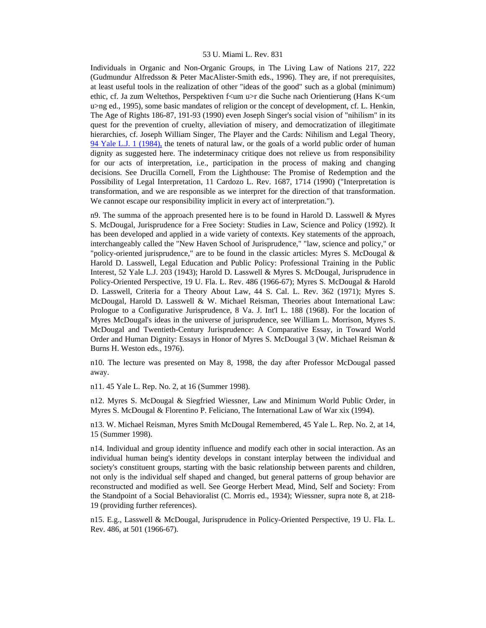Individuals in Organic and Non-Organic Groups, in The Living Law of Nations 217, 222 (Gudmundur Alfredsson & Peter MacAlister-Smith eds., 1996). They are, if not prerequisites, at least useful tools in the realization of other "ideas of the good" such as a global (minimum) ethic, cf. Ja zum Weltethos, Perspektiven f<um u>r die Suche nach Orientierung (Hans K<um u>ng ed., 1995), some basic mandates of religion or the concept of development, cf. L. Henkin, The Age of Rights 186-87, 191-93 (1990) even Joseph Singer's social vision of "nihilism" in its quest for the prevention of cruelty, alleviation of misery, and democratization of illegitimate hierarchies, cf. Joseph William Singer, The Player and the Cards: Nihilism and Legal Theory, [94 Yale L.J. 1 \(1984\),](http://www.lexis.com/research/xlink?searchtype=get&search=94%20Yale%20L.J.%201) the tenets of natural law, or the goals of a world public order of human dignity as suggested here. The indeterminacy critique does not relieve us from responsibility for our acts of interpretation, i.e., participation in the process of making and changing decisions. See Drucilla Cornell, From the Lighthouse: The Promise of Redemption and the Possibility of Legal Interpretation, 11 Cardozo L. Rev. 1687, 1714 (1990) ("Interpretation is transformation, and we are responsible as we interpret for the direction of that transformation. We cannot escape our responsibility implicit in every act of interpretation.").

n9. The summa of the approach presented here is to be found in Harold D. Lasswell  $\&$  Myres S. McDougal, Jurisprudence for a Free Society: Studies in Law, Science and Policy (1992). It has been developed and applied in a wide variety of contexts. Key statements of the approach, interchangeably called the "New Haven School of Jurisprudence," "law, science and policy," or "policy-oriented jurisprudence," are to be found in the classic articles: Myres S. McDougal  $\&$ Harold D. Lasswell, Legal Education and Public Policy: Professional Training in the Public Interest, 52 Yale L.J. 203 (1943); Harold D. Lasswell & Myres S. McDougal, Jurisprudence in Policy-Oriented Perspective, 19 U. Fla. L. Rev. 486 (1966-67); Myres S. McDougal & Harold D. Lasswell, Criteria for a Theory About Law, 44 S. Cal. L. Rev. 362 (1971); Myres S. McDougal, Harold D. Lasswell & W. Michael Reisman, Theories about International Law: Prologue to a Configurative Jurisprudence, 8 Va. J. Int'l L. 188 (1968). For the location of Myres McDougal's ideas in the universe of jurisprudence, see William L. Morrison, Myres S. McDougal and Twentieth-Century Jurisprudence: A Comparative Essay, in Toward World Order and Human Dignity: Essays in Honor of Myres S. McDougal 3 (W. Michael Reisman & Burns H. Weston eds., 1976).

n10. The lecture was presented on May 8, 1998, the day after Professor McDougal passed away.

n11. 45 Yale L. Rep. No. 2, at 16 (Summer 1998).

n12. Myres S. McDougal & Siegfried Wiessner, Law and Minimum World Public Order, in Myres S. McDougal & Florentino P. Feliciano, The International Law of War xix (1994).

n13. W. Michael Reisman, Myres Smith McDougal Remembered, 45 Yale L. Rep. No. 2, at 14, 15 (Summer 1998).

n14. Individual and group identity influence and modify each other in social interaction. As an individual human being's identity develops in constant interplay between the individual and society's constituent groups, starting with the basic relationship between parents and children, not only is the individual self shaped and changed, but general patterns of group behavior are reconstructed and modified as well. See George Herbert Mead, Mind, Self and Society: From the Standpoint of a Social Behavioralist (C. Morris ed., 1934); Wiessner, supra note 8, at 218- 19 (providing further references).

n15. E.g., Lasswell & McDougal, Jurisprudence in Policy-Oriented Perspective, 19 U. Fla. L. Rev. 486, at 501 (1966-67).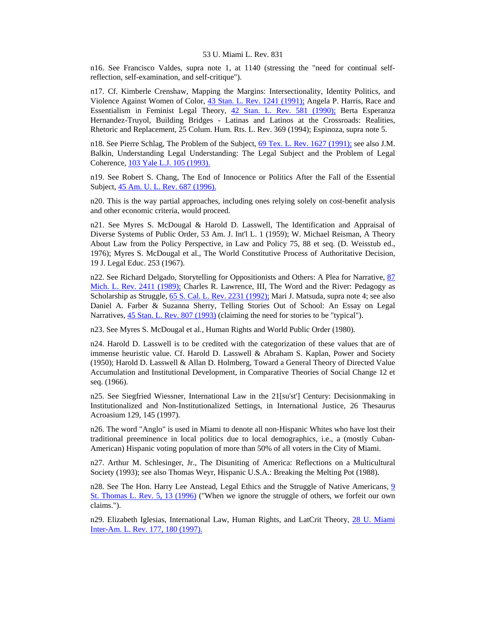n16. See Francisco Valdes, supra note 1, at 1140 (stressing the "need for continual selfreflection, self-examination, and self-critique").

n17. Cf. Kimberle Crenshaw, Mapping the Margins: Intersectionality, Identity Politics, and Violence Against Women of Color, [43 Stan. L. Rev. 1241 \(1991\);](http://www.lexis.com/research/xlink?searchtype=get&search=43%20Stan.%20L.%20Rev.%201241) Angela P. Harris, Race and Essentialism in Feminist Legal Theory, [42 Stan. L. Rev. 581 \(1990\);](http://www.lexis.com/research/xlink?searchtype=get&search=42%20Stan.%20L.%20Rev.%20581) Berta Esperanza Hernandez-Truyol, Building Bridges - Latinas and Latinos at the Crossroads: Realities, Rhetoric and Replacement, 25 Colum. Hum. Rts. L. Rev. 369 (1994); Espinoza, supra note 5.

n18. See Pierre Schlag, The Problem of the Subject, [69 Tex. L. Rev. 1627 \(1991\);](http://www.lexis.com/research/xlink?searchtype=get&search=69%20Tex.%20L.%20Rev.%201627) see also J.M. Balkin, Understanding Legal Understanding: The Legal Subject and the Problem of Legal Coherence, [103 Yale L.J. 105 \(1993\).](http://www.lexis.com/research/xlink?searchtype=get&search=103%20Yale%20L.J.%20105)

n19. See Robert S. Chang, The End of Innocence or Politics After the Fall of the Essential Subject, [45 Am. U. L. Rev. 687 \(1996\).](http://www.lexis.com/research/xlink?searchtype=get&search=45%20Am.%20U.L.%20Rev.%20687)

n20. This is the way partial approaches, including ones relying solely on cost-benefit analysis and other economic criteria, would proceed.

n21. See Myres S. McDougal & Harold D. Lasswell, The Identification and Appraisal of Diverse Systems of Public Order, 53 Am. J. Int'l L. 1 (1959); W. Michael Reisman, A Theory About Law from the Policy Perspective, in Law and Policy 75, 88 et seq. (D. Weisstub ed., 1976); Myres S. McDougal et al., The World Constitutive Process of Authoritative Decision, 19 J. Legal Educ. 253 (1967).

n22. See Richard Delgado, Storytelling for Oppositionists and Others: A Plea for Narrative, [87](http://www.lexis.com/research/xlink?searchtype=get&search=87%20Mich.%20L.%20Rev.%202411)  [Mich. L. Rev. 2411 \(1989\);](http://www.lexis.com/research/xlink?searchtype=get&search=87%20Mich.%20L.%20Rev.%202411) Charles R. Lawrence, III, The Word and the River: Pedagogy as Scholarship as Struggle, [65 S. Cal. L. Rev. 2231 \(1992\);](http://www.lexis.com/research/xlink?searchtype=get&search=65%20S.%20Cal.%20L.%20Rev.%202231) Mari J. Matsuda, supra note 4; see also Daniel A. Farber & Suzanna Sherry, Telling Stories Out of School: An Essay on Legal Narratives, [45 Stan. L. Rev. 807 \(1993\)](http://www.lexis.com/research/xlink?searchtype=get&search=45%20Stan.%20L.%20Rev.%20807) (claiming the need for stories to be "typical").

n23. See Myres S. McDougal et al., Human Rights and World Public Order (1980).

n24. Harold D. Lasswell is to be credited with the categorization of these values that are of immense heuristic value. Cf. Harold D. Lasswell & Abraham S. Kaplan, Power and Society (1950); Harold D. Lasswell & Allan D. Holmberg, Toward a General Theory of Directed Value Accumulation and Institutional Development, in Comparative Theories of Social Change 12 et seq. (1966).

n25. See Siegfried Wiessner, International Law in the 21[su'st'] Century: Decisionmaking in Institutionalized and Non-Institutionalized Settings, in International Justice, 26 Thesaurus Acroasium 129, 145 (1997).

n26. The word "Anglo" is used in Miami to denote all non-Hispanic Whites who have lost their traditional preeminence in local politics due to local demographics, i.e., a (mostly Cuban-American) Hispanic voting population of more than 50% of all voters in the City of Miami.

n27. Arthur M. Schlesinger, Jr., The Disuniting of America: Reflections on a Multicultural Society (1993); see also Thomas Weyr, Hispanic U.S.A.: Breaking the Melting Pot (1988).

n28. See The Hon. Harry Lee Anstead, Legal Ethics and the Struggle of Native Americans, 9 [St. Thomas L. Rev. 5, 13 \(1996\)](http://www.lexis.com/research/xlink?searchtype=get&search=9%20St.%20Thomas%20L.%20Rev.%205,at%2013) ("When we ignore the struggle of others, we forfeit our own claims.").

n29. Elizabeth Iglesias, International Law, Human Rights, and LatCrit Theory, [28 U. Miami](http://www.lexis.com/research/xlink?searchtype=get&search=28%20U.%20Miami%20Inter-Am.%20L.%20Rev.%20177,at%20180)  [Inter-Am. L. Rev. 177, 180 \(1997\).](http://www.lexis.com/research/xlink?searchtype=get&search=28%20U.%20Miami%20Inter-Am.%20L.%20Rev.%20177,at%20180)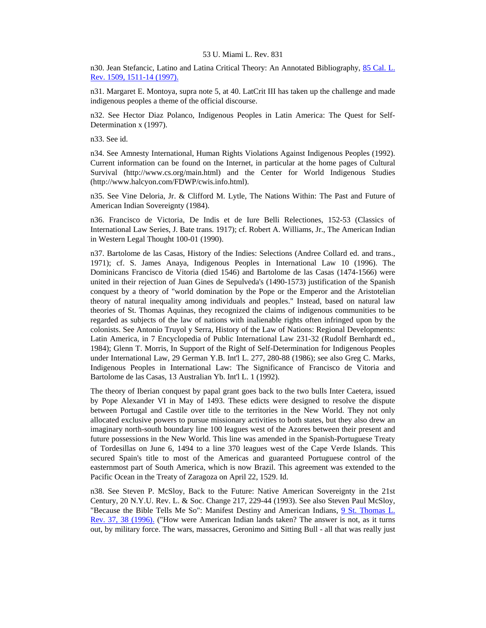n30. Jean Stefancic, Latino and Latina Critical Theory: An Annotated Bibliography, [85 Cal. L.](http://www.lexis.com/research/xlink?searchtype=get&search=85%20Calif.%20L.%20Rev.%201509,at%201511)  [Rev. 1509, 1511-14 \(1997\).](http://www.lexis.com/research/xlink?searchtype=get&search=85%20Calif.%20L.%20Rev.%201509,at%201511)

n31. Margaret E. Montoya, supra note 5, at 40. LatCrit III has taken up the challenge and made indigenous peoples a theme of the official discourse.

n32. See Hector Diaz Polanco, Indigenous Peoples in Latin America: The Quest for Self-Determination x (1997).

n33. See id.

n34. See Amnesty International, Human Rights Violations Against Indigenous Peoples (1992). Current information can be found on the Internet, in particular at the home pages of Cultural Survival (http://www.cs.org/main.html) and the Center for World Indigenous Studies (http://www.halcyon.com/FDWP/cwis.info.html).

n35. See Vine Deloria, Jr. & Clifford M. Lytle, The Nations Within: The Past and Future of American Indian Sovereignty (1984).

n36. Francisco de Victoria, De Indis et de Iure Belli Relectiones, 152-53 (Classics of International Law Series, J. Bate trans. 1917); cf. Robert A. Williams, Jr., The American Indian in Western Legal Thought 100-01 (1990).

n37. Bartolome de las Casas, History of the Indies: Selections (Andree Collard ed. and trans., 1971); cf. S. James Anaya, Indigenous Peoples in International Law 10 (1996). The Dominicans Francisco de Vitoria (died 1546) and Bartolome de las Casas (1474-1566) were united in their rejection of Juan Gines de Sepulveda's (1490-1573) justification of the Spanish conquest by a theory of "world domination by the Pope or the Emperor and the Aristotelian theory of natural inequality among individuals and peoples." Instead, based on natural law theories of St. Thomas Aquinas, they recognized the claims of indigenous communities to be regarded as subjects of the law of nations with inalienable rights often infringed upon by the colonists. See Antonio Truyol y Serra, History of the Law of Nations: Regional Developments: Latin America, in 7 Encyclopedia of Public International Law 231-32 (Rudolf Bernhardt ed., 1984); Glenn T. Morris, In Support of the Right of Self-Determination for Indigenous Peoples under International Law, 29 German Y.B. Int'l L. 277, 280-88 (1986); see also Greg C. Marks, Indigenous Peoples in International Law: The Significance of Francisco de Vitoria and Bartolome de las Casas, 13 Australian Yb. Int'l L. 1 (1992).

The theory of Iberian conquest by papal grant goes back to the two bulls Inter Caetera, issued by Pope Alexander VI in May of 1493. These edicts were designed to resolve the dispute between Portugal and Castile over title to the territories in the New World. They not only allocated exclusive powers to pursue missionary activities to both states, but they also drew an imaginary north-south boundary line 100 leagues west of the Azores between their present and future possessions in the New World. This line was amended in the Spanish-Portuguese Treaty of Tordesillas on June 6, 1494 to a line 370 leagues west of the Cape Verde Islands. This secured Spain's title to most of the Americas and guaranteed Portuguese control of the easternmost part of South America, which is now Brazil. This agreement was extended to the Pacific Ocean in the Treaty of Zaragoza on April 22, 1529. Id.

n38. See Steven P. McSloy, Back to the Future: Native American Sovereignty in the 21st Century, 20 N.Y.U. Rev. L. & Soc. Change 217, 229-44 (1993). See also Steven Paul McSloy, "Because the Bible Tells Me So": Manifest Destiny and American Indians, [9 St. Thomas L.](http://www.lexis.com/research/xlink?searchtype=get&search=9%20St.%20Thomas%20L.%20Rev.%2037,at%2038)  [Rev. 37, 38 \(1996\).](http://www.lexis.com/research/xlink?searchtype=get&search=9%20St.%20Thomas%20L.%20Rev.%2037,at%2038) ("How were American Indian lands taken? The answer is not, as it turns out, by military force. The wars, massacres, Geronimo and Sitting Bull - all that was really just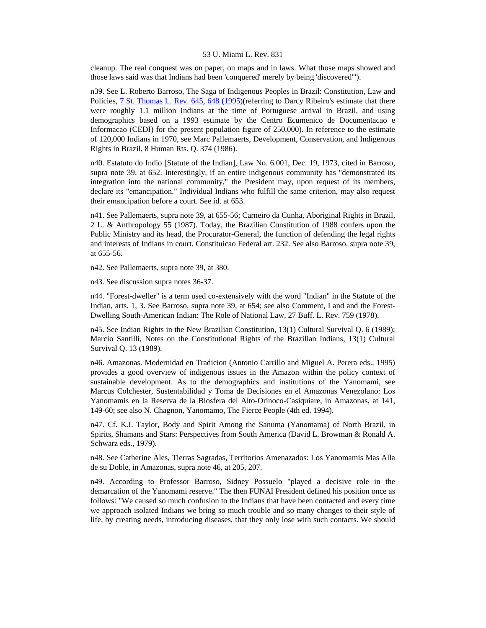cleanup. The real conquest was on paper, on maps and in laws. What those maps showed and those laws said was that Indians had been 'conquered' merely by being 'discovered'").

n39. See L. Roberto Barroso, The Saga of Indigenous Peoples in Brazil: Constitution, Law and Policies, **7 St. Thomas L. Rev. 645, 648 (1995)**(referring to Darcy Ribeiro's estimate that there were roughly 1.1 million Indians at the time of Portuguese arrival in Brazil, and using demographics based on a 1993 estimate by the Centro Ecumenico de Documentacao e Informacao (CEDI) for the present population figure of 250,000). In reference to the estimate of 120,000 Indians in 1970, see Marc Pallemaerts, Development, Conservation, and Indigenous Rights in Brazil, 8 Human Rts. Q. 374 (1986).

n40. Estatuto do Indio [Statute of the Indian], Law No. 6.001, Dec. 19, 1973, cited in Barroso, supra note 39, at 652. Interestingly, if an entire indigenous community has "demonstrated its integration into the national community," the President may, upon request of its members, declare its "emancipation." Individual Indians who fulfill the same criterion, may also request their emancipation before a court. See id. at 653.

n41. See Pallemaerts, supra note 39, at 655-56; Carneiro da Cunha, Aboriginal Rights in Brazil, 2 L. & Anthropology 55 (1987). Today, the Brazilian Constitution of 1988 confers upon the Public Ministry and its head, the Procurator-General, the function of defending the legal rights and interests of Indians in court. Constituicao Federal art. 232. See also Barroso, supra note 39, at 655-56.

n42. See Pallemaerts, supra note 39, at 380.

n43. See discussion supra notes 36-37.

n44. "Forest-dweller" is a term used co-extensively with the word "Indian" in the Statute of the Indian, arts. 1, 3. See Barroso, supra note 39, at 654; see also Comment, Land and the Forest-Dwelling South-American Indian: The Role of National Law, 27 Buff. L. Rev. 759 (1978).

n45. See Indian Rights in the New Brazilian Constitution, 13(1) Cultural Survival Q. 6 (1989); Marcio Santilli, Notes on the Constitutional Rights of the Brazilian Indians, 13(1) Cultural Survival Q. 13 (1989).

n46. Amazonas. Modernidad en Tradicion (Antonio Carrillo and Miguel A. Perera eds., 1995) provides a good overview of indigenous issues in the Amazon within the policy context of sustainable development. As to the demographics and institutions of the Yanomami, see Marcus Colchester, Sustentabilidad y Toma de Decisiones en el Amazonas Venezolano: Los Yanomamis en la Reserva de la Biosfera del Alto-Orinoco-Casiquiare, in Amazonas, at 141, 149-60; see also N. Chagnon, Yanomamo, The Fierce People (4th ed. 1994).

n47. Cf. K.I. Taylor, Body and Spirit Among the Sanuma (Yanomama) of North Brazil, in Spirits, Shamans and Stars: Perspectives from South America (David L. Browman & Ronald A. Schwarz eds., 1979).

n48. See Catherine Ales, Tierras Sagradas, Territorios Amenazados: Los Yanomamis Mas Alla de su Doble, in Amazonas, supra note 46, at 205, 207.

n49. According to Professor Barroso, Sidney Possuelo "played a decisive role in the demarcation of the Yanomami reserve." The then FUNAI President defined his position once as follows: "We caused so much confusion to the Indians that have been contacted and every time we approach isolated Indians we bring so much trouble and so many changes to their style of life, by creating needs, introducing diseases, that they only lose with such contacts. We should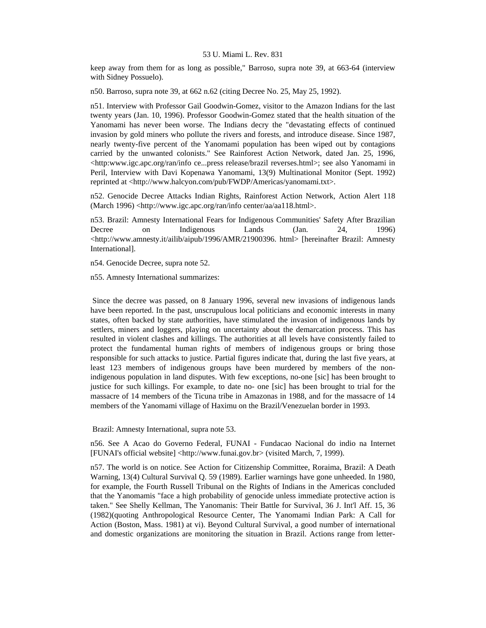keep away from them for as long as possible," Barroso, supra note 39, at 663-64 (interview with Sidney Possuelo).

n50. Barroso, supra note 39, at 662 n.62 (citing Decree No. 25, May 25, 1992).

n51. Interview with Professor Gail Goodwin-Gomez, visitor to the Amazon Indians for the last twenty years (Jan. 10, 1996). Professor Goodwin-Gomez stated that the health situation of the Yanomami has never been worse. The Indians decry the "devastating effects of continued invasion by gold miners who pollute the rivers and forests, and introduce disease. Since 1987, nearly twenty-five percent of the Yanomami population has been wiped out by contagions carried by the unwanted colonists." See Rainforest Action Network, dated Jan. 25, 1996, <http:www.igc.apc.org/ran/info ce...press release/brazil reverses.html>; see also Yanomami in Peril, Interview with Davi Kopenawa Yanomami, 13(9) Multinational Monitor (Sept. 1992) reprinted at <http://www.halcyon.com/pub/FWDP/Americas/yanomami.txt>.

n52. Genocide Decree Attacks Indian Rights, Rainforest Action Network, Action Alert 118 (March 1996) <http://www.igc.apc.org/ran/info center/aa/aa118.html>.

n53. Brazil: Amnesty International Fears for Indigenous Communities' Safety After Brazilian Decree on Indigenous Lands (Jan. 24, 1996) <http://www.amnesty.it/ailib/aipub/1996/AMR/21900396. html> [hereinafter Brazil: Amnesty International].

n54. Genocide Decree, supra note 52.

n55. Amnesty International summarizes:

 Since the decree was passed, on 8 January 1996, several new invasions of indigenous lands have been reported. In the past, unscrupulous local politicians and economic interests in many states, often backed by state authorities, have stimulated the invasion of indigenous lands by settlers, miners and loggers, playing on uncertainty about the demarcation process. This has resulted in violent clashes and killings. The authorities at all levels have consistently failed to protect the fundamental human rights of members of indigenous groups or bring those responsible for such attacks to justice. Partial figures indicate that, during the last five years, at least 123 members of indigenous groups have been murdered by members of the nonindigenous population in land disputes. With few exceptions, no-one [sic] has been brought to justice for such killings. For example, to date no- one [sic] has been brought to trial for the massacre of 14 members of the Ticuna tribe in Amazonas in 1988, and for the massacre of 14 members of the Yanomami village of Haximu on the Brazil/Venezuelan border in 1993.

Brazil: Amnesty International, supra note 53.

n56. See A Acao do Governo Federal, FUNAI - Fundacao Nacional do indio na Internet [FUNAI's official website] <http://www.funai.gov.br> (visited March, 7, 1999).

n57. The world is on notice. See Action for Citizenship Committee, Roraima, Brazil: A Death Warning, 13(4) Cultural Survival Q. 59 (1989). Earlier warnings have gone unheeded. In 1980, for example, the Fourth Russell Tribunal on the Rights of Indians in the Americas concluded that the Yanomamis "face a high probability of genocide unless immediate protective action is taken." See Shelly Kellman, The Yanomanis: Their Battle for Survival, 36 J. Int'l Aff. 15, 36 (1982)(quoting Anthropological Resource Center, The Yanomami Indian Park: A Call for Action (Boston, Mass. 1981) at vi). Beyond Cultural Survival, a good number of international and domestic organizations are monitoring the situation in Brazil. Actions range from letter-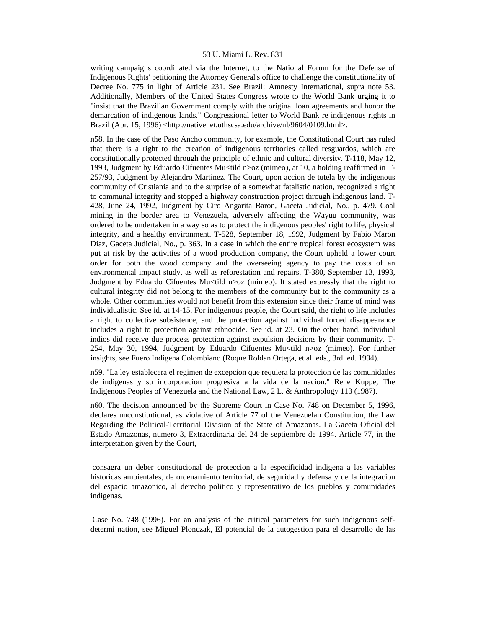writing campaigns coordinated via the Internet, to the National Forum for the Defense of Indigenous Rights' petitioning the Attorney General's office to challenge the constitutionality of Decree No. 775 in light of Article 231. See Brazil: Amnesty International, supra note 53. Additionally, Members of the United States Congress wrote to the World Bank urging it to "insist that the Brazilian Government comply with the original loan agreements and honor the demarcation of indigenous lands." Congressional letter to World Bank re indigenous rights in Brazil (Apr. 15, 1996) <http://nativenet.uthscsa.edu/archive/nl/9604/0109.html>.

n58. In the case of the Paso Ancho community, for example, the Constitutional Court has ruled that there is a right to the creation of indigenous territories called resguardos, which are constitutionally protected through the principle of ethnic and cultural diversity. T-118, May 12, 1993, Judgment by Eduardo Cifuentes Mu<tild n>oz (mimeo), at 10, a holding reaffirmed in T-257/93, Judgment by Alejandro Martinez. The Court, upon accion de tutela by the indigenous community of Cristiania and to the surprise of a somewhat fatalistic nation, recognized a right to communal integrity and stopped a highway construction project through indigenous land. T-428, June 24, 1992, Judgment by Ciro Angarita Baron, Gaceta Judicial, No., p. 479. Coal mining in the border area to Venezuela, adversely affecting the Wayuu community, was ordered to be undertaken in a way so as to protect the indigenous peoples' right to life, physical integrity, and a healthy environment. T-528, September 18, 1992, Judgment by Fabio Maron Diaz, Gaceta Judicial, No., p. 363. In a case in which the entire tropical forest ecosystem was put at risk by the activities of a wood production company, the Court upheld a lower court order for both the wood company and the overseeing agency to pay the costs of an environmental impact study, as well as reforestation and repairs. T-380, September 13, 1993, Judgment by Eduardo Cifuentes Mu<tild n>oz (mimeo). It stated expressly that the right to cultural integrity did not belong to the members of the community but to the community as a whole. Other communities would not benefit from this extension since their frame of mind was individualistic. See id. at 14-15. For indigenous people, the Court said, the right to life includes a right to collective subsistence, and the protection against individual forced disappearance includes a right to protection against ethnocide. See id. at 23. On the other hand, individual indios did receive due process protection against expulsion decisions by their community. T-254, May 30, 1994, Judgment by Eduardo Cifuentes Mu<tild n>oz (mimeo). For further insights, see Fuero Indigena Colombiano (Roque Roldan Ortega, et al. eds., 3rd. ed. 1994).

n59. "La ley establecera el regimen de excepcion que requiera la proteccion de las comunidades de indigenas y su incorporacion progresiva a la vida de la nacion." Rene Kuppe, The Indigenous Peoples of Venezuela and the National Law, 2 L. & Anthropology 113 (1987).

n60. The decision announced by the Supreme Court in Case No. 748 on December 5, 1996, declares unconstitutional, as violative of Article 77 of the Venezuelan Constitution, the Law Regarding the Political-Territorial Division of the State of Amazonas. La Gaceta Oficial del Estado Amazonas, numero 3, Extraordinaria del 24 de septiembre de 1994. Article 77, in the interpretation given by the Court,

 consagra un deber constitucional de proteccion a la especificidad indigena a las variables historicas ambientales, de ordenamiento territorial, de seguridad y defensa y de la integracion del espacio amazonico, al derecho politico y representativo de los pueblos y comunidades indigenas.

 Case No. 748 (1996). For an analysis of the critical parameters for such indigenous selfdetermi nation, see Miguel Plonczak, El potencial de la autogestion para el desarrollo de las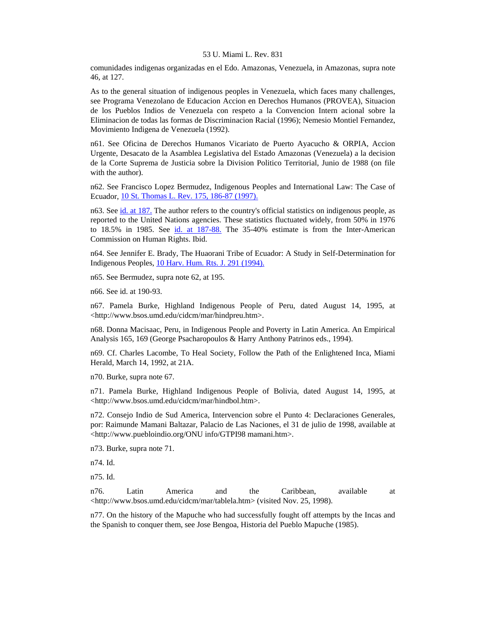comunidades indigenas organizadas en el Edo. Amazonas, Venezuela, in Amazonas, supra note 46, at 127.

As to the general situation of indigenous peoples in Venezuela, which faces many challenges, see Programa Venezolano de Educacion Accion en Derechos Humanos (PROVEA), Situacion de los Pueblos Indios de Venezuela con respeto a la Convencion Intern acional sobre la Eliminacion de todas las formas de Discriminacion Racial (1996); Nemesio Montiel Fernandez, Movimiento Indigena de Venezuela (1992).

n61. See Oficina de Derechos Humanos Vicariato de Puerto Ayacucho & ORPIA, Accion Urgente, Desacato de la Asamblea Legislativa del Estado Amazonas (Venezuela) a la decision de la Corte Suprema de Justicia sobre la Division Politico Territorial, Junio de 1988 (on file with the author).

n62. See Francisco Lopez Bermudez, Indigenous Peoples and International Law: The Case of Ecuador, [10 St. Thomas L. Rev. 175, 186-87 \(1997\).](http://www.lexis.com/research/xlink?searchtype=get&search=10%20St.%20Thomas%20L.%20Rev.%20175,at%20186)

n63. See [id. at 187.](http://www.lexis.com/research/xlink?searchtype=get&search=10%20St.%20Thomas%20L.%20Rev.%20175,at%20187) The author refers to the country's official statistics on indigenous people, as reported to the United Nations agencies. These statistics fluctuated widely, from 50% in 1976 to 18.5% in 1985. See [id. at 187-88.](http://www.lexis.com/research/xlink?searchtype=get&search=10%20St.%20Thomas%20L.%20Rev.%20175,at%20187) The 35-40% estimate is from the Inter-American Commission on Human Rights. Ibid.

n64. See Jennifer E. Brady, The Huaorani Tribe of Ecuador: A Study in Self-Determination for Indigenous Peoples, [10 Harv. Hum. Rts. J. 291 \(1994\).](http://www.lexis.com/research/xlink?searchtype=get&search=10%20Harv.%20Hum.%20Rts.%20J.%20291)

n65. See Bermudez, supra note 62, at 195.

n66. See id. at 190-93.

n67. Pamela Burke, Highland Indigenous People of Peru, dated August 14, 1995, at <http://www.bsos.umd.edu/cidcm/mar/hindpreu.htm>.

n68. Donna Macisaac, Peru, in Indigenous People and Poverty in Latin America. An Empirical Analysis 165, 169 (George Psacharopoulos & Harry Anthony Patrinos eds., 1994).

n69. Cf. Charles Lacombe, To Heal Society, Follow the Path of the Enlightened Inca, Miami Herald, March 14, 1992, at 21A.

n70. Burke, supra note 67.

n71. Pamela Burke, Highland Indigenous People of Bolivia, dated August 14, 1995, at <http://www.bsos.umd.edu/cidcm/mar/hindbol.htm>.

n72. Consejo Indio de Sud America, Intervencion sobre el Punto 4: Declaraciones Generales, por: Raimunde Mamani Baltazar, Palacio de Las Naciones, el 31 de julio de 1998, available at <http://www.puebloindio.org/ONU info/GTPI98 mamani.htm>.

n73. Burke, supra note 71.

n74. Id.

n75. Id.

n76. Latin America and the Caribbean, available at <http://www.bsos.umd.edu/cidcm/mar/tablela.htm> (visited Nov. 25, 1998).

n77. On the history of the Mapuche who had successfully fought off attempts by the Incas and the Spanish to conquer them, see Jose Bengoa, Historia del Pueblo Mapuche (1985).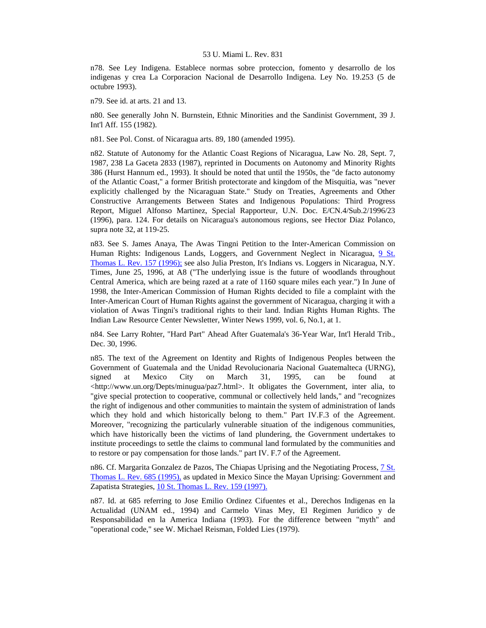n78. See Ley Indigena. Establece normas sobre proteccion, fomento y desarrollo de los indigenas y crea La Corporacion Nacional de Desarrollo Indigena. Ley No. 19.253 (5 de octubre 1993).

n79. See id. at arts. 21 and 13.

n80. See generally John N. Burnstein, Ethnic Minorities and the Sandinist Government, 39 J. Int'l Aff. 155 (1982).

n81. See Pol. Const. of Nicaragua arts. 89, 180 (amended 1995).

n82. Statute of Autonomy for the Atlantic Coast Regions of Nicaragua, Law No. 28, Sept. 7, 1987, 238 La Gaceta 2833 (1987), reprinted in Documents on Autonomy and Minority Rights 386 (Hurst Hannum ed., 1993). It should be noted that until the 1950s, the "de facto autonomy of the Atlantic Coast," a former British protectorate and kingdom of the Misquitia, was "never explicitly challenged by the Nicaraguan State." Study on Treaties, Agreements and Other Constructive Arrangements Between States and Indigenous Populations: Third Progress Report, Miguel Alfonso Martinez, Special Rapporteur, U.N. Doc. E/CN.4/Sub.2/1996/23 (1996), para. 124. For details on Nicaragua's autonomous regions, see Hector Diaz Polanco, supra note 32, at 119-25.

n83. See S. James Anaya, The Awas Tingni Petition to the Inter-American Commission on Human Rights: Indigenous Lands, Loggers, and Government Neglect in Nicaragua, [9 St.](http://www.lexis.com/research/xlink?searchtype=get&search=9%20St.%20Thomas%20L.%20Rev.%20157)  [Thomas L. Rev. 157 \(1996\);](http://www.lexis.com/research/xlink?searchtype=get&search=9%20St.%20Thomas%20L.%20Rev.%20157) see also Julia Preston, It's Indians vs. Loggers in Nicaragua, N.Y. Times, June 25, 1996, at A8 ("The underlying issue is the future of woodlands throughout Central America, which are being razed at a rate of 1160 square miles each year.") In June of 1998, the Inter-American Commission of Human Rights decided to file a complaint with the Inter-American Court of Human Rights against the government of Nicaragua, charging it with a violation of Awas Tingni's traditional rights to their land. Indian Rights Human Rights. The Indian Law Resource Center Newsletter, Winter News 1999, vol. 6, No.1, at 1.

n84. See Larry Rohter, "Hard Part" Ahead After Guatemala's 36-Year War, Int'l Herald Trib., Dec. 30, 1996.

n85. The text of the Agreement on Identity and Rights of Indigenous Peoples between the Government of Guatemala and the Unidad Revolucionaria Nacional Guatemalteca (URNG), signed at Mexico City on March 31, 1995, can be found at  $\langle$ http://www.un.org/Depts/minugua/paz7.html>. It obligates the Government, inter alia, to "give special protection to cooperative, communal or collectively held lands," and "recognizes the right of indigenous and other communities to maintain the system of administration of lands which they hold and which historically belong to them." Part IV.F.3 of the Agreement. Moreover, "recognizing the particularly vulnerable situation of the indigenous communities, which have historically been the victims of land plundering, the Government undertakes to institute proceedings to settle the claims to communal land formulated by the communities and to restore or pay compensation for those lands." part IV. F.7 of the Agreement.

n86. Cf. Margarita Gonzalez de Pazos, The Chiapas Uprising and the Negotiating Process, 7 St. [Thomas L. Rev. 685 \(1995\),](http://www.lexis.com/research/xlink?searchtype=get&search=7%20St.%20Thomas%20L.%20Rev.%20685) as updated in Mexico Since the Mayan Uprising: Government and Zapatista Strategies, [10 St. Thomas L. Rev. 159 \(1997\).](http://www.lexis.com/research/xlink?searchtype=get&search=10%20St.%20Thomas%20L.%20Rev.%20159)

n87. Id. at 685 referring to Jose Emilio Ordinez Cifuentes et al., Derechos Indigenas en la Actualidad (UNAM ed., 1994) and Carmelo Vinas Mey, El Regimen Juridico y de Responsabilidad en la America Indiana (1993). For the difference between "myth" and "operational code," see W. Michael Reisman, Folded Lies (1979).